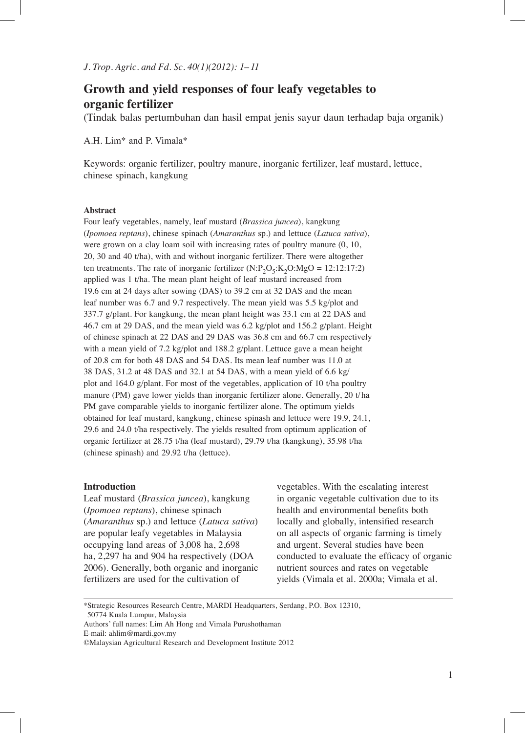# **Growth and yield responses of four leafy vegetables to organic  fertilizer**

(Tindak balas pertumbuhan dan hasil empat jenis sayur daun terhadap baja organik)

A.H. Lim\* and P. Vimala\*

Keywords: organic fertilizer, poultry manure, inorganic fertilizer, leaf mustard, lettuce, chinese spinach, kangkung

### **Abstract**

Four leafy vegetables, namely, leaf mustard (*Brassica juncea*), kangkung (*Ipomoea reptans*), chinese spinach (*Amaranthus* sp.) and lettuce (*Latuca sativa*), were grown on a clay loam soil with increasing rates of poultry manure (0, 10, 20, 30 and 40 t/ha), with and without inorganic fertilizer. There were altogether ten treatments. The rate of inorganic fertilizer  $(N:P_2O_5:K_2O:MgO = 12:12:17:2)$ applied was 1 t/ha. The mean plant height of leaf mustard increased from 19.6 cm at 24 days after sowing (DAS) to 39.2 cm at 32 DAS and the mean leaf number was 6.7 and 9.7 respectively. The mean yield was 5.5 kg/plot and 337.7 g/plant. For kangkung, the mean plant height was 33.1 cm at 22 DAS and 46.7 cm at 29 DAS, and the mean yield was 6.2 kg/plot and 156.2 g/plant. Height of chinese spinach at 22 DAS and 29 DAS was 36.8 cm and 66.7 cm respectively with a mean yield of 7.2 kg/plot and 188.2 g/plant. Lettuce gave a mean height of 20.8 cm for both 48 DAS and 54 DAS. Its mean leaf number was 11.0 at 38 DAS, 31.2 at 48 DAS and 32.1 at 54 DAS, with a mean yield of 6.6 kg/ plot and 164.0 g/plant. For most of the vegetables, application of 10 t/ha poultry manure (PM) gave lower yields than inorganic fertilizer alone. Generally, 20 t/ha PM gave comparable yields to inorganic fertilizer alone. The optimum yields obtained for leaf mustard, kangkung, chinese spinash and lettuce were 19.9, 24.1, 29.6 and 24.0 t/ha respectively. The yields resulted from optimum application of organic fertilizer at 28.75 t/ha (leaf mustard), 29.79 t/ha (kangkung), 35.98 t/ha (chinese spinash) and 29.92 t/ha (lettuce).

### **Introduction**

Leaf mustard (*Brassica juncea*), kangkung (*Ipomoea reptans*), chinese spinach (*Amaranthus* sp.) and lettuce (*Latuca sativa*) are popular leafy vegetables in Malaysia occupying land areas of 3,008 ha, 2,698 ha, 2,297 ha and 904 ha respectively (DOA 2006). Generally, both organic and inorganic fertilizers are used for the cultivation of

vegetables. With the escalating interest in organic vegetable cultivation due to its health and environmental benefits both locally and globally, intensified research on all aspects of organic farming is timely and urgent. Several studies have been conducted to evaluate the efficacy of organic nutrient sources and rates on vegetable yields (Vimala et al. 2000a; Vimala et al.

<sup>\*</sup>Strategic Resources Research Centre, MARDI Headquarters, Serdang, P.O. Box 12310, 50774 Kuala Lumpur, Malaysia

Authors' full names: Lim Ah Hong and Vimala Purushothaman

E-mail: ahlim@mardi.gov.my

<sup>©</sup>Malaysian Agricultural Research and Development Institute 2012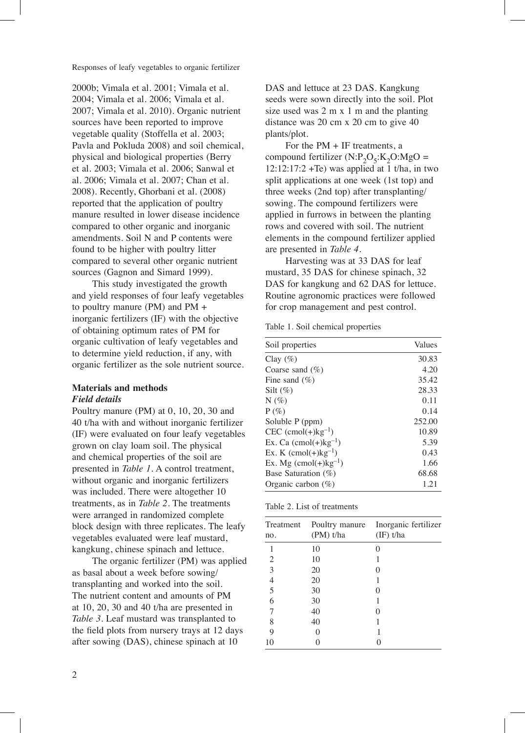2000b; Vimala et al. 2001; Vimala et al. 2004; Vimala et al. 2006; Vimala et al. 2007; Vimala et al. 2010). Organic nutrient sources have been reported to improve vegetable quality (Stoffella et al. 2003; Pavla and Pokluda 2008) and soil chemical, physical and biological properties (Berry et al. 2003; Vimala et al. 2006; Sanwal et al. 2006; Vimala et al. 2007; Chan et al. 2008). Recently, Ghorbani et al. (2008) reported that the application of poultry manure resulted in lower disease incidence compared to other organic and inorganic amendments. Soil N and P contents were found to be higher with poultry litter compared to several other organic nutrient sources (Gagnon and Simard 1999).

This study investigated the growth and yield responses of four leafy vegetables to poultry manure (PM) and PM + inorganic fertilizers (IF) with the objective of obtaining optimum rates of PM for organic cultivation of leafy vegetables and to determine yield reduction, if any, with organic fertilizer as the sole nutrient source.

# **Materials and methods** *Field details*

Poultry manure (PM) at 0, 10, 20, 30 and 40 t/ha with and without inorganic fertilizer (IF) were evaluated on four leafy vegetables grown on clay loam soil. The physical and chemical properties of the soil are presented in *Table 1*. A control treatment, without organic and inorganic fertilizers was included. There were altogether 10 treatments, as in *Table 2*. The treatments were arranged in randomized complete block design with three replicates. The leafy vegetables evaluated were leaf mustard, kangkung, chinese spinach and lettuce.

The organic fertilizer (PM) was applied as basal about a week before sowing/ transplanting and worked into the soil. The nutrient content and amounts of PM at 10, 20, 30 and 40 t/ha are presented in *Table 3*. Leaf mustard was transplanted to the field plots from nursery trays at 12 days after sowing (DAS), chinese spinach at 10

DAS and lettuce at 23 DAS. Kangkung seeds were sown directly into the soil. Plot size used was 2 m x 1 m and the planting distance was 20 cm x 20 cm to give 40 plants/plot.

For the PM + IF treatments, a compound fertilizer  $(N:P_2O_5:K_2O:MgO =$  $12:12:17:2 + Te$ ) was applied at 1 t/ha, in two split applications at one week (1st top) and three weeks (2nd top) after transplanting/ sowing. The compound fertilizers were applied in furrows in between the planting rows and covered with soil. The nutrient elements in the compound fertilizer applied are presented in *Table 4*.

Harvesting was at 33 DAS for leaf mustard, 35 DAS for chinese spinach, 32 DAS for kangkung and 62 DAS for lettuce. Routine agronomic practices were followed for crop management and pest control.

Table 1. Soil chemical properties

| Soil properties                             | Values |
|---------------------------------------------|--------|
| Clay $(\%)$                                 | 30.83  |
| Coarse sand $(\% )$                         | 4.20   |
| Fine sand $(\% )$                           | 35.42  |
| Silt $(\%)$                                 | 28.33  |
| $N(\%)$                                     | 0.11   |
| $P(\%)$                                     | 0.14   |
| Soluble P (ppm)                             | 252.00 |
| $CEC$ (cmol(+) $kg^{-1}$ )                  | 10.89  |
| Ex. Ca $(\text{cmol}(+)$ kg <sup>-1</sup> ) | 5.39   |
| Ex. K $(\text{cmol}(+)$ kg <sup>-1</sup> )  | 0.43   |
| Ex. Mg $(\text{cmol}(+)$ kg <sup>-1</sup> ) | 1.66   |
| Base Saturation (%)                         | 68.68  |
| Organic carbon $(\%)$                       | 1.21   |

| Table 2. List of treatments |  |
|-----------------------------|--|
|-----------------------------|--|

|                |             | Treatment Poultry manure Inorganic fertilizer |
|----------------|-------------|-----------------------------------------------|
| no.            | $(PM)$ t/ha | $(\text{IF})$ t/ha                            |
| 1              | 10          |                                               |
| $\overline{2}$ | 10          |                                               |
| 3              | 20          |                                               |
| $\overline{4}$ | 20          |                                               |
| 5              | 30          |                                               |
| 6              | 30          |                                               |
| 7              | 40          |                                               |
| 8              | 40          |                                               |
| 9              |             |                                               |
| 10             |             |                                               |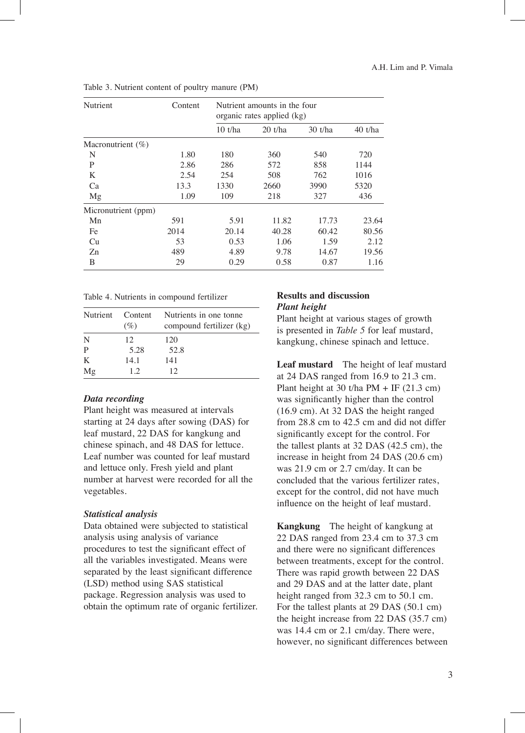| Nutrient              | Content | Nutrient amounts in the four<br>organic rates applied (kg) |           |           |           |  |
|-----------------------|---------|------------------------------------------------------------|-----------|-----------|-----------|--|
|                       |         | 10 t/ha                                                    | $20$ t/ha | $30$ t/ha | $40$ t/ha |  |
| Macronutrient $(\% )$ |         |                                                            |           |           |           |  |
| N                     | 1.80    | 180                                                        | 360       | 540       | 720       |  |
| P                     | 2.86    | 286                                                        | 572       | 858       | 1144      |  |
| K                     | 2.54    | 254                                                        | 508       | 762       | 1016      |  |
| Ca                    | 13.3    | 1330                                                       | 2660      | 3990      | 5320      |  |
| Mg                    | 1.09    | 109                                                        | 218       | 327       | 436       |  |
| Micronutrient (ppm)   |         |                                                            |           |           |           |  |
| Mn                    | 591     | 5.91                                                       | 11.82     | 17.73     | 23.64     |  |
| Fe                    | 2014    | 20.14                                                      | 40.28     | 60.42     | 80.56     |  |
| Cu                    | 53      | 0.53                                                       | 1.06      | 1.59      | 2.12      |  |
| Zn                    | 489     | 4.89                                                       | 9.78      | 14.67     | 19.56     |  |
| B                     | 29      | 0.29                                                       | 0.58      | 0.87      | 1.16      |  |

Table 3. Nutrient content of poultry manure (PM)

| Table 4. Nutrients in compound fertilizer |  |  |
|-------------------------------------------|--|--|
|                                           |  |  |

|    | Nutrient Content<br>(%) | Nutrients in one tonne<br>compound fertilizer (kg) |
|----|-------------------------|----------------------------------------------------|
| N  | 12.                     | 120                                                |
| P  | 5.28                    | 52.8                                               |
| K  | 14.1                    | 141                                                |
| Mg | 12                      | 12                                                 |

# *Data recording*

Plant height was measured at intervals starting at 24 days after sowing (DAS) for leaf mustard, 22 DAS for kangkung and chinese spinach, and 48 DAS for lettuce. Leaf number was counted for leaf mustard and lettuce only. Fresh yield and plant number at harvest were recorded for all the vegetables.

### *Statistical analysis*

Data obtained were subjected to statistical analysis using analysis of variance procedures to test the significant effect of all the variables investigated. Means were separated by the least significant difference (LSD) method using SAS statistical package. Regression analysis was used to obtain the optimum rate of organic fertilizer.

### **Results and discussion** *Plant height*

Plant height at various stages of growth is presented in *Table 5* for leaf mustard, kangkung, chinese spinach and lettuce.

**Leaf mustard** The height of leaf mustard at 24 DAS ranged from 16.9 to 21.3 cm. Plant height at 30 t/ha PM + IF  $(21.3 \text{ cm})$ was significantly higher than the control (16.9 cm). At 32 DAS the height ranged from 28.8 cm to 42.5 cm and did not differ significantly except for the control. For the tallest plants at 32 DAS (42.5 cm), the increase in height from 24 DAS (20.6 cm) was 21.9 cm or 2.7 cm/day. It can be concluded that the various fertilizer rates, except for the control, did not have much influence on the height of leaf mustard.

**Kangkung** The height of kangkung at 22 DAS ranged from 23.4 cm to 37.3 cm and there were no significant differences between treatments, except for the control. There was rapid growth between 22 DAS and 29 DAS and at the latter date, plant height ranged from 32.3 cm to 50.1 cm. For the tallest plants at 29 DAS (50.1 cm) the height increase from 22 DAS (35.7 cm) was 14.4 cm or 2.1 cm/day. There were, however, no significant differences between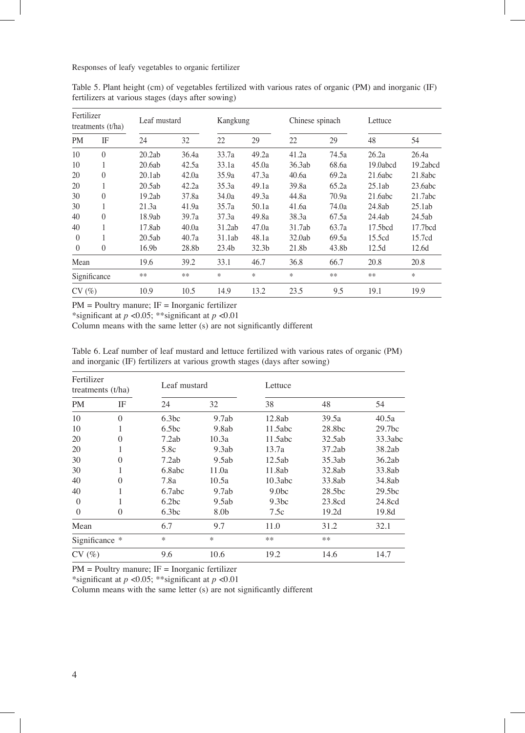| Fertilizer   | treatments $(t/ha)$ | Leaf mustard |       | Kangkung          |       | Chinese spinach |       | Lettuce             |                     |
|--------------|---------------------|--------------|-------|-------------------|-------|-----------------|-------|---------------------|---------------------|
| <b>PM</b>    | IF                  | 24           | 32    | 22                | 29    | 22              | 29    | 48                  | 54                  |
| 10           | $\theta$            | 20.2ab       | 36.4a | 33.7a             | 49.2a | 41.2a           | 74.5a | 26.2a               | 26.4a               |
| 10           | 1                   | 20.6ab       | 42.5a | 33.1a             | 45.0a | 36.3ab          | 68.6a | 19.0abcd            | 19.2abcd            |
| 20           | $\mathbf{0}$        | 20.1ab       | 42.0a | 35.9a             | 47.3a | 40.6a           | 69.2a | 21.6abc             | 21.8abc             |
| 20           | 1                   | 20.5ab       | 42.2a | 35.3a             | 49.1a | 39.8a           | 65.2a | 25.1ab              | 23.6abc             |
| 30           | $\mathbf{0}$        | 19.2ab       | 37.8a | 34.0a             | 49.3a | 44.8a           | 70.9a | 21.6abc             | 21.7abc             |
| 30           | 1                   | 21.3a        | 41.9a | 35.7a             | 50.1a | 41.6a           | 74.0a | 24.8ab              | 25.1ab              |
| 40           | $\mathbf{0}$        | 18.9ab       | 39.7a | 37.3a             | 49.8a | 38.3a           | 67.5a | 24.4ab              | 24.5ab              |
| 40           |                     | 17.8ab       | 40.0a | 31.2ab            | 47.0a | 31.7ab          | 63.7a | 17.5 <sub>bcd</sub> | 17.7 <sub>bcd</sub> |
| $\theta$     | 1                   | 20.5ab       | 40.7a | 31.1ab            | 48.1a | 32.0ab          | 69.5a | 15.5cd              | 15.7cd              |
| $\theta$     | $\theta$            | 16.9b        | 28.8b | 23.4 <sub>b</sub> | 32.3b | 21.8b           | 43.8b | 12.5d               | 12.6d               |
| Mean         |                     | 19.6         | 39.2  | 33.1              | 46.7  | 36.8            | 66.7  | 20.8                | 20.8                |
| Significance |                     | **           | $**$  | *                 | *     | *               | $***$ | $**$                | $\ast$              |
| CV(%)        |                     | 10.9         | 10.5  | 14.9              | 13.2  | 23.5            | 9.5   | 19.1                | 19.9                |

Table 5. Plant height (cm) of vegetables fertilized with various rates of organic (PM) and inorganic (IF) fertilizers at various stages (days after sowing)

PM = Poultry manure; IF = Inorganic fertilizer

\*significant at *p* <0.05; \*\*significant at *p* <0.01

Column means with the same letter (s) are not significantly different

Table 6. Leaf number of leaf mustard and lettuce fertilized with various rates of organic (PM) and inorganic (IF) fertilizers at various growth stages (days after sowing)

| Fertilizer<br>treatments $(t/ha)$ |                |                   | Leaf mustard |                   | Lettuce |                    |  |  |
|-----------------------------------|----------------|-------------------|--------------|-------------------|---------|--------------------|--|--|
| <b>PM</b>                         | IF             | 24                | 32           | 38                | 48      | 54                 |  |  |
| 10                                | $\theta$       | 6.3bc             | 9.7ab        | 12.8ab            | 39.5a   | 40.5a              |  |  |
| 10                                |                | 6.5 <sub>bc</sub> | 9.8ab        | 11.5abc           | 28.8bc  | 29.7 <sub>bc</sub> |  |  |
| 20                                | $\theta$       | 7.2ab             | 10.3a        | 11.5abc           | 32.5ab  | 33.3abc            |  |  |
| 20                                |                | 5.8c              | 9.3ab        | 13.7a             | 37.2ab  | 38.2ab             |  |  |
| 30                                | $\theta$       | 7.2ab             | 9.5ab        | 12.5ab            | 35.3ab  | 36.2ab             |  |  |
| 30                                |                | 6.8abc            | 11.0a        | 11.8ab            | 32.8ab  | 33.8ab             |  |  |
| 40                                | $\Omega$       | 7.8a              | 10.5a        | 10.3abc           | 33.8ab  | 34.8ab             |  |  |
| 40                                |                | 6.7abc            | 9.7ab        | 9.0 <sub>bc</sub> | 28.5bc  | 29.5 <sub>bc</sub> |  |  |
| $\Omega$                          |                | 6.2bc             | 9.5ab        | 9.3 <sub>bc</sub> | 23.8cd  | 24.8cd             |  |  |
| $\theta$                          | $\overline{0}$ | 6.3bc             | 8.0b         | 7.5c              | 19.2d   | 19.8d              |  |  |
| Mean                              |                | 6.7               | 9.7          | 11.0              | 31.2    | 32.1               |  |  |
| Significance *                    |                | *                 | *            | **                | $***$   |                    |  |  |
| CV(%)                             |                | 9.6               | 10.6         | 19.2              | 14.6    | 14.7               |  |  |

PM = Poultry manure; IF = Inorganic fertilizer

\*significant at *p* <0.05; \*\*significant at *p* <0.01

Column means with the same letter (s) are not significantly different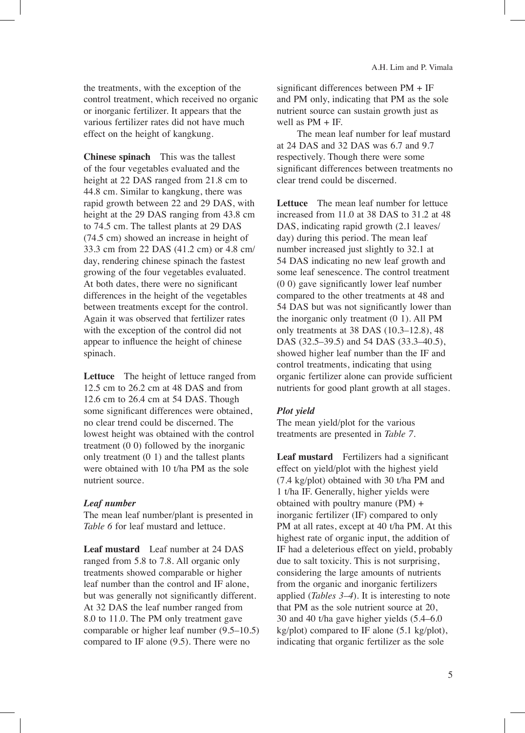the treatments, with the exception of the control treatment, which received no organic or inorganic fertilizer. It appears that the various fertilizer rates did not have much effect on the height of kangkung.

**Chinese spinach** This was the tallest of the four vegetables evaluated and the height at 22 DAS ranged from 21.8 cm to 44.8 cm. Similar to kangkung, there was rapid growth between 22 and 29 DAS, with height at the 29 DAS ranging from 43.8 cm to 74.5 cm. The tallest plants at 29 DAS (74.5 cm) showed an increase in height of 33.3 cm from 22 DAS (41.2 cm) or 4.8 cm/ day, rendering chinese spinach the fastest growing of the four vegetables evaluated. At both dates, there were no significant differences in the height of the vegetables between treatments except for the control. Again it was observed that fertilizer rates with the exception of the control did not appear to influence the height of chinese spinach.

**Lettuce** The height of lettuce ranged from 12.5 cm to 26.2 cm at 48 DAS and from 12.6 cm to 26.4 cm at 54 DAS. Though some significant differences were obtained, no clear trend could be discerned. The lowest height was obtained with the control treatment (0 0) followed by the inorganic only treatment (0 1) and the tallest plants were obtained with 10 t/ha PM as the sole nutrient source.

### *Leaf number*

The mean leaf number/plant is presented in *Table 6* for leaf mustard and lettuce.

**Leaf mustard** Leaf number at 24 DAS ranged from 5.8 to 7.8. All organic only treatments showed comparable or higher leaf number than the control and IF alone, but was generally not significantly different. At 32 DAS the leaf number ranged from 8.0 to 11.0. The PM only treatment gave comparable or higher leaf number (9.5–10.5) compared to IF alone (9.5). There were no

significant differences between PM + IF and PM only, indicating that PM as the sole nutrient source can sustain growth just as well as PM + IF.

The mean leaf number for leaf mustard at 24 DAS and 32 DAS was 6.7 and 9.7 respectively. Though there were some significant differences between treatments no clear trend could be discerned.

**Lettuce** The mean leaf number for lettuce increased from 11.0 at 38 DAS to 31.2 at 48 DAS, indicating rapid growth (2.1 leaves/ day) during this period. The mean leaf number increased just slightly to 32.1 at 54 DAS indicating no new leaf growth and some leaf senescence. The control treatment (0 0) gave significantly lower leaf number compared to the other treatments at 48 and 54 DAS but was not significantly lower than the inorganic only treatment (0 1). All PM only treatments at 38 DAS (10.3–12.8), 48 DAS (32.5–39.5) and 54 DAS (33.3–40.5), showed higher leaf number than the IF and control treatments, indicating that using organic fertilizer alone can provide sufficient nutrients for good plant growth at all stages.

# *Plot yield*

The mean yield/plot for the various treatments are presented in *Table 7*.

**Leaf mustard** Fertilizers had a significant effect on yield/plot with the highest yield (7.4 kg/plot) obtained with 30 t/ha PM and 1 t/ha IF. Generally, higher yields were obtained with poultry manure (PM) + inorganic fertilizer (IF) compared to only PM at all rates, except at 40 t/ha PM. At this highest rate of organic input, the addition of IF had a deleterious effect on yield, probably due to salt toxicity. This is not surprising, considering the large amounts of nutrients from the organic and inorganic fertilizers applied (*Tables 3–4*). It is interesting to note that PM as the sole nutrient source at 20, 30 and 40 t/ha gave higher yields (5.4–6.0 kg/plot) compared to IF alone (5.1 kg/plot), indicating that organic fertilizer as the sole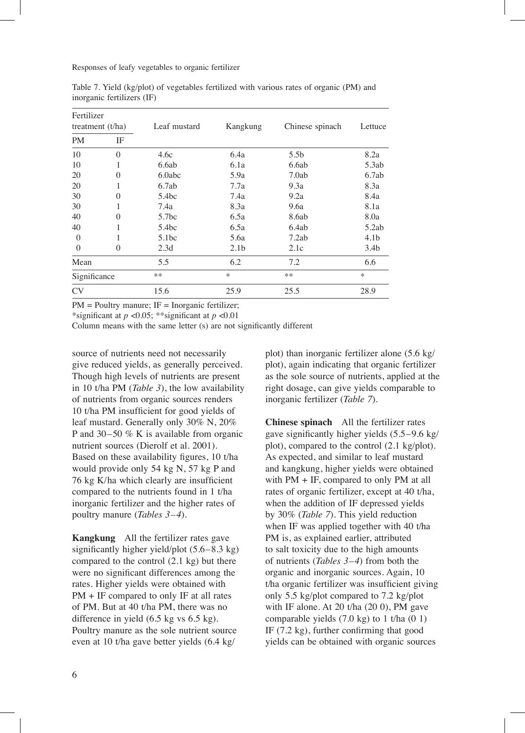| Fertilizer         |          |                   |                  |                  |                  |  |
|--------------------|----------|-------------------|------------------|------------------|------------------|--|
| treatment $(t/ha)$ |          | Leaf mustard      | Kangkung         | Chinese spinach  | Lettuce          |  |
| <b>PM</b>          | IF       |                   |                  |                  |                  |  |
| 10                 | $\Omega$ | 4.6c              | 6.4a             | 5.5 <sub>b</sub> | 8.2a             |  |
| 10                 |          | 6.6ab             | 6.1a             | 6.6ab            | 5.3ab            |  |
| 20                 | 0        | 6.0abc            | 5.9a             | 7.0ab            | 6.7ab            |  |
| 20                 |          | 6.7ab             | 7.7a             | 9.3a             | 8.3a             |  |
| 30                 | $\theta$ | 5.4bc             | 7.4a             | 9.2a             | 8.4a             |  |
| 30                 |          | 7.4a              | 8.3a             | 9.6a             | 8.1a             |  |
| 40                 | 0        | 5.7 <sub>bc</sub> | 6.5a             | 8.6ab            | 8.0a             |  |
| 40                 |          | 5.4bc             | 6.5a             | 6.4ab            | 5.2ab            |  |
| $\mathbf{0}$       |          | 5.1bc             | 5.6a             | 7.2ab            | 4.1 <sub>b</sub> |  |
| $\theta$           | $\Omega$ | 2.3d              | 2.1 <sub>b</sub> | 2.1c             | 3.4 <sub>b</sub> |  |
| Mean               |          | 5.5               | 6.2              | 7.2              | 6.6              |  |
| Significance       |          | **                | $\ast$           | **               | $\ast$           |  |
| <b>CV</b>          |          | 15.6              | 25.9             | 25.5             | 28.9             |  |
|                    |          |                   |                  |                  |                  |  |

Table 7. Yield (kg/plot) of vegetables fertilized with various rates of organic (PM) and inorganic fertilizers (IF)

 $PM =$  Poultry manure;  $IF =$  Inorganic fertilizer;

\*significant at *p* <0.05; \*\*significant at *p* <0.01

Column means with the same letter (s) are not significantly different

source of nutrients need not necessarily give reduced yields, as generally perceived. Though high levels of nutrients are present in 10 t/ha PM (*Table 3*), the low availability of nutrients from organic sources renders 10 t/ha PM insufficient for good yields of leaf mustard. Generally only 30% N, 20% P and 30–50 % K is available from organic nutrient sources (Dierolf et al. 2001). Based on these availability figures, 10 t/ha would provide only 54 kg N, 57 kg P and 76 kg K/ha which clearly are insufficient compared to the nutrients found in 1 t/ha inorganic fertilizer and the higher rates of poultry manure (*Tables 3–4*).

**Kangkung** All the fertilizer rates gave significantly higher yield/plot (5.6–8.3 kg) compared to the control (2.1 kg) but there were no significant differences among the rates. Higher yields were obtained with PM + IF compared to only IF at all rates of PM. But at 40 t/ha PM, there was no difference in yield (6.5 kg vs 6.5 kg). Poultry manure as the sole nutrient source even at 10 t/ha gave better yields (6.4 kg/

plot) than inorganic fertilizer alone (5.6 kg/ plot), again indicating that organic fertilizer as the sole source of nutrients, applied at the right dosage, can give yields comparable to inorganic fertilizer (*Table 7*).

**Chinese spinach** All the fertilizer rates gave significantly higher yields (5.5–9.6 kg/ plot), compared to the control (2.1 kg/plot). As expected, and similar to leaf mustard and kangkung, higher yields were obtained with PM + IF, compared to only PM at all rates of organic fertilizer, except at 40 t/ha, when the addition of IF depressed yields by 30% (*Table 7*). This yield reduction when IF was applied together with 40 t/ha PM is, as explained earlier, attributed to salt toxicity due to the high amounts of nutrients (*Tables 3–4*) from both the organic and inorganic sources. Again, 10 t/ha organic fertilizer was insufficient giving only 5.5 kg/plot compared to 7.2 kg/plot with IF alone. At 20 t/ha (20 0), PM gave comparable yields  $(7.0 \text{ kg})$  to 1 t/ha  $(0 1)$ IF (7.2 kg), further confirming that good yields can be obtained with organic sources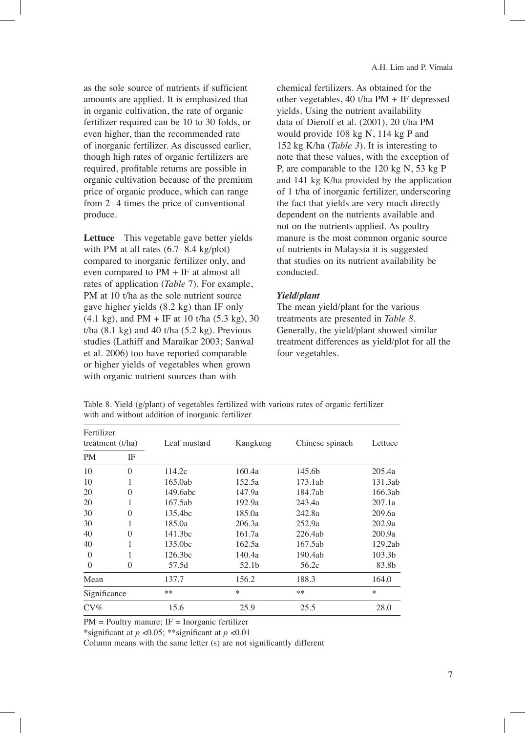as the sole source of nutrients if sufficient amounts are applied. It is emphasized that in organic cultivation, the rate of organic fertilizer required can be 10 to 30 folds, or even higher, than the recommended rate of inorganic fertilizer. As discussed earlier, though high rates of organic fertilizers are required, profitable returns are possible in organic cultivation because of the premium price of organic produce, which can range from 2–4 times the price of conventional produce.

**Lettuce** This vegetable gave better yields with PM at all rates  $(6.7–8.4 \text{ kg/plot})$ compared to inorganic fertilizer only, and even compared to PM + IF at almost all rates of application (*Table* 7). For example, PM at 10 t/ha as the sole nutrient source gave higher yields (8.2 kg) than IF only  $(4.1 \text{ kg})$ , and PM + IF at 10 t/ha  $(5.3 \text{ kg})$ , 30 t/ha  $(8.1 \text{ kg})$  and  $40$  t/ha  $(5.2 \text{ kg})$ . Previous studies (Lathiff and Maraikar 2003; Sanwal et al. 2006) too have reported comparable or higher yields of vegetables when grown with organic nutrient sources than with

chemical fertilizers. As obtained for the other vegetables, 40 t/ha PM + IF depressed yields. Using the nutrient availability data of Dierolf et al. (2001), 20 t/ha PM would  provide 108 kg N, 114 kg P and 152  kg K/ha (*Table 3*). It is interesting to note that these values, with the exception of P, are comparable to the 120 kg N, 53 kg P and 141 kg K/ha provided by the application of 1 t/ha of inorganic fertilizer, underscoring the fact that yields are very much directly dependent on the nutrients available and not on the nutrients applied. As poultry manure is the most common organic source of nutrients in Malaysia it is suggested that studies on its nutrient availability be conducted.

### *Yield/plant*

The mean yield/plant for the various treatments are presented in *Table 8.* Generally, the yield/plant showed similar treatment differences as yield/plot for all the four vegetables.

| Fertilizer<br>treatment $(t/ha)$ |          | Leaf mustard        | Kangkung | Chinese spinach    | Lettuce            |
|----------------------------------|----------|---------------------|----------|--------------------|--------------------|
| <b>PM</b>                        | IF       |                     |          |                    |                    |
| 10                               | $\Omega$ | 114.2c              | 160.4a   | 145.6 <sub>b</sub> | 205.4a             |
| 10                               |          | 165.0ab             | 152.5a   | 173.1ab            | 131.3ab            |
| 20                               | $\Omega$ | 149.6abc            | 147.9a   | 184.7ab            | 166.3ab            |
| 20                               |          | 167.5ab             | 192.9a   | 243.4a             | 207.1a             |
| 30                               | $\Omega$ | 135.4bc             | 185.0a   | 242.8a             | 209.6a             |
| 30                               |          | 185.0a              | 206.3a   | 252.9a             | 202.9a             |
| 40                               | 0        | 141.3bc             | 161.7a   | 226.4ab            | 200.9a             |
| 40                               |          | 135.0bc             | 162.5a   | 167.5ab            | 129.2ab            |
| $\Omega$                         |          | 126.3 <sub>bc</sub> | 140.4a   | 190.4ab            | 103.3 <sub>b</sub> |
| $\theta$                         | 0        | 57.5d               | 52.1b    | 56.2c              | 83.8b              |
| Mean                             |          | 137.7               | 156.2    | 188.3              | 164.0              |
| Significance                     |          | **                  | $\ast$   | **                 | $\ast$             |
| $CV\%$                           |          | 15.6                | 25.9     | 25.5               | 28.0               |

Table 8. Yield (g/plant) of vegetables fertilized with various rates of organic fertilizer with and without addition of inorganic fertilizer

 $PM =$  Poultry manure;  $IF =$  Inorganic fertilizer

\*significant at *p* <0.05; \*\*significant at *p* <0.01

Column means with the same letter (s) are not significantly different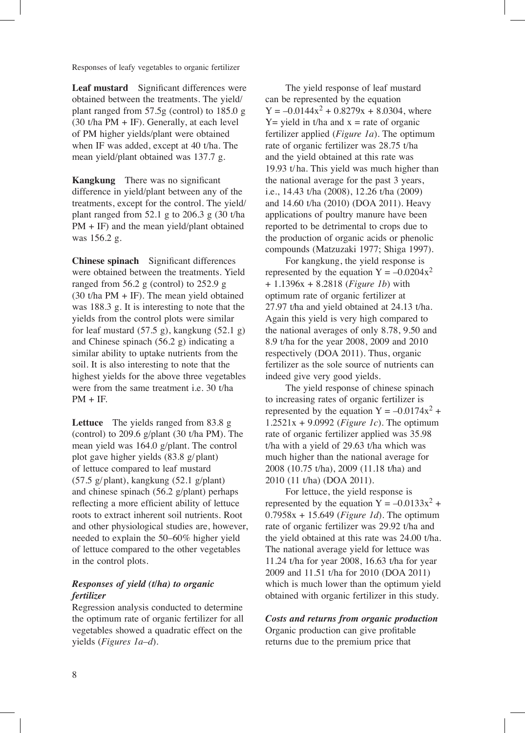**Leaf mustard** Significant differences were obtained between the treatments. The yield/ plant ranged from 57.5g (control) to 185.0 g (30 t/ha PM + IF). Generally, at each level of PM higher yields/plant were obtained when IF was added, except at 40 t/ha. The mean yield/plant obtained was 137.7 g.

**Kangkung** There was no significant difference in yield/plant between any of the treatments, except for the control. The yield/ plant ranged from 52.1 g to 206.3 g (30 t/ha PM + IF) and the mean yield/plant obtained was 156.2 g.

**Chinese spinach** Significant differences were obtained between the treatments. Yield ranged from 56.2 g (control) to 252.9 g (30 t/ha  $PM + IF$ ). The mean yield obtained was 188.3 g. It is interesting to note that the yields from the control plots were similar for leaf mustard (57.5 g), kangkung (52.1 g) and Chinese spinach (56.2 g) indicating a similar ability to uptake nutrients from the soil. It is also interesting to note that the highest yields for the above three vegetables were from the same treatment i.e. 30 t/ha  $PM + IF$ .

**Lettuce** The yields ranged from 83.8 g (control) to 209.6 g/plant (30 t/ha PM). The mean yield was 164.0 g/plant. The control plot gave higher yields (83.8 g/plant) of lettuce compared to leaf mustard (57.5 g/plant), kangkung (52.1 g/plant) and chinese spinach (56.2 g/plant) perhaps reflecting a more efficient ability of lettuce roots to extract inherent soil nutrients. Root and other physiological studies are, however, needed to explain the 50–60% higher yield of lettuce compared to the other vegetables in the control plots.

# *Responses of yield (t/ha) to organic fertilizer*

Regression analysis conducted to determine the optimum rate of organic fertilizer for all vegetables showed a quadratic effect on the yields (*Figures 1a–d*).

The yield response of leaf mustard can be represented by the equation  $Y = -0.0144x^{2} + 0.8279x + 8.0304$ , where  $Y =$  yield in t/ha and  $x =$  rate of organic fertilizer applied (*Figure 1a*). The optimum rate of organic fertilizer was 28.75 t/ha and the yield obtained at this rate was 19.93 t/ha. This yield was much higher than the national average for the past 3 years, i.e., 14.43 t/ha (2008), 12.26 t/ha (2009) and 14.60 t/ha (2010) (DOA 2011). Heavy applications of poultry manure have been reported to be detrimental to crops due to the production of organic acids or phenolic compounds (Matzuzaki 1977; Shiga 1997).

For kangkung, the yield response is represented by the equation  $Y = -0.0204x^2$ + 1.1396x + 8.2818 (*Figure 1b*) with optimum rate of organic fertilizer at 27.97 t/ha and yield obtained at 24.13 t/ha. Again this yield is very high compared to the national averages of only 8.78, 9.50 and 8.9 t/ha for the year 2008, 2009 and 2010 respectively (DOA 2011). Thus, organic fertilizer as the sole source of nutrients can indeed give very good yields.

The yield response of chinese spinach to increasing rates of organic fertilizer is represented by the equation  $Y = -0.0174x^2 +$ 1.2521x + 9.0992 (*Figure 1c*). The optimum rate of organic fertilizer applied was 35.98 t/ha with a yield of 29.63 t/ha which was much higher than the national average for 2008 (10.75 t/ha), 2009 (11.18 t/ha) and 2010 (11 t/ha) (DOA 2011).

For lettuce, the yield response is represented by the equation  $Y = -0.0133x^{2} +$ 0.7958x + 15.649 (*Figure 1d*). The optimum rate of organic fertilizer was 29.92 t/ha and the yield obtained at this rate was 24.00 t/ha. The national average yield for lettuce was 11.24 t/ha for year 2008, 16.63 t/ha for year 2009 and 11.51 t/ha for 2010 (DOA 2011) which is much lower than the optimum yield obtained with organic fertilizer in this study.

*Costs and returns from organic production* Organic production can give profitable returns due to the premium price that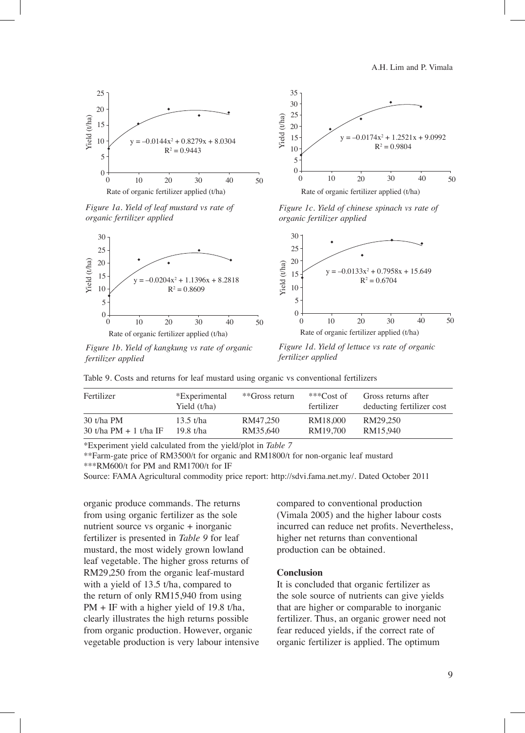A.H. Lim and P. Vimala





*Figure 1a. Yield of leaf mustard vs rate of organic fertilizer applied*



*Figure 1c. Yield of chinese spinach vs rate of organic fertilizer applied*



*Figure 1b. Yield of kangkung vs rate of organic fertilizer applied*

*Figure 1d. Yield of lettuce vs rate of organic* 

| Fertilizer                               | *Experimental<br>Yield (t/ha) | **Gross return       | *** $Cost of$<br>fertilizer | Gross returns after<br>deducting fertilizer cost |
|------------------------------------------|-------------------------------|----------------------|-----------------------------|--------------------------------------------------|
| $30$ t/ha PM<br>30 t/ha PM $+$ 1 t/ha IF | 13.5 t/ha<br>19.8 t/ha        | RM47.250<br>RM35.640 | RM18,000<br>RM19.700        | RM29.250<br>RM15.940                             |
|                                          |                               |                      |                             |                                                  |

Table 9. Costs and returns for leaf mustard using organic vs conventional fertilizers

\*Experiment yield calculated from the yield/plot in *Table 7*

\*\*Farm-gate price of RM3500/t for organic and RM1800/t for non-organic leaf mustard \*\*\*RM600/t for PM and RM1700/t for IF

Source: FAMA Agricultural commodity price report: http://sdvi.fama.net.my/. Dated October 2011

organic produce commands. The returns from using organic fertilizer as the sole nutrient source vs organic + inorganic fertilizer is presented in *Table 9* for leaf mustard, the most widely grown lowland leaf vegetable. The higher gross returns of RM29,250 from the organic leaf-mustard with a yield of 13.5 t/ha, compared to the return of only RM15,940 from using PM + IF with a higher yield of 19.8 t/ha, clearly illustrates the high returns possible from organic production. However, organic vegetable production is very labour intensive compared to conventional production (Vimala 2005) and the higher labour costs incurred can reduce net profits. Nevertheless, higher net returns than conventional production can be obtained.

### **Conclusion**

It is concluded that organic fertilizer as the sole source of nutrients can give yields that are higher or comparable to inorganic fertilizer. Thus, an organic grower need not fear reduced yields, if the correct rate of organic fertilizer is applied. The optimum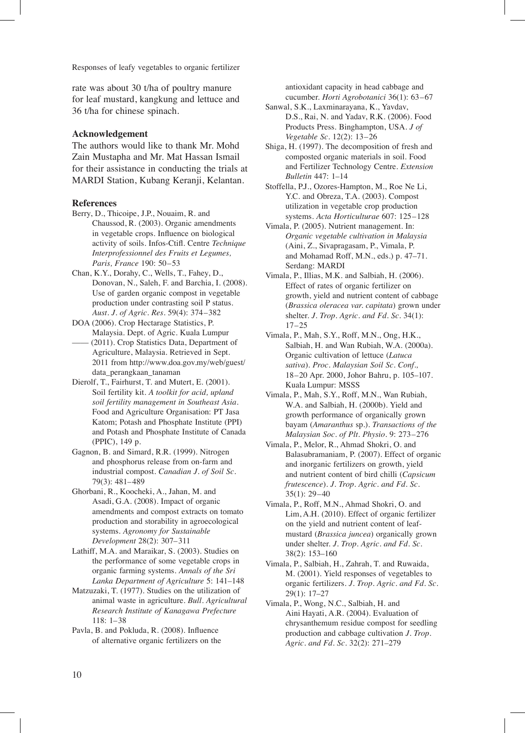rate was about 30 t/ha of poultry manure for leaf mustard, kangkung and lettuce and 36 t/ha for chinese spinach.

#### **Acknowledgement**

The authors would like to thank Mr. Mohd Zain Mustapha and Mr. Mat Hassan Ismail for their assistance in conducting the trials at MARDI Station, Kubang Keranji, Kelantan.

### **References**

- Berry, D., Thicoipe, J.P., Nouaim, R. and Chaussod,  R. (2003). Organic amendments in vegetable crops. Influence on biological activity of soils. Infos-Ctifl. Centre *Technique Interprofessionnel des Fruits et Legumes, Paris, France* 190: 50–53
- Chan, K.Y., Dorahy, C., Wells, T., Fahey, D., Donovan, N., Saleh, F. and Barchia, I. (2008). Use of garden organic compost in vegetable production under contrasting soil P status. *Aust. J. of Agric. Res.* 59(4): 374–382
- DOA (2006). Crop Hectarage Statistics, P. Malaysia. Dept. of Agric. Kuala Lumpur (2011). Crop Statistics Data, Department of Agriculture, Malaysia. Retrieved in Sept.

2011 from http://www.doa.gov.my/web/guest/ data\_perangkaan\_tanaman

- Dierolf, T., Fairhurst, T. and Mutert, E. (2001). Soil fertility kit. *A toolkit for acid, upland soil fertility management in Southeast Asia.*  Food and Agriculture Organisation: PT Jasa Katom; Potash and Phosphate Institute (PPI) and Potash and Phosphate Institute of Canada (PPIC), 149 p.
- Gagnon, B. and Simard, R.R. (1999). Nitrogen and phosphorus release from on-farm and industrial compost. *Canadian J. of Soil Sc.*  79(3): 481–489

Ghorbani, R., Koocheki, A., Jahan, M. and Asadi,  G.A. (2008). Impact of organic amendments and compost extracts on tomato production and storability in agroecological systems. *Agronomy for Sustainable Development* 28(2): 307–311

Lathiff, M.A. and Maraikar, S. (2003). Studies on the performance of some vegetable crops in organic farming systems. *Annals of the Sri Lanka Department of Agriculture* 5: 141–148

Matzuzaki, T. (1977). Studies on the utilization of animal waste in agriculture. *Bull. Agricultural Research Institute of Kanagawa Prefecture* 118: 1–38

Pavla, B. and Pokluda, R. (2008). Influence of alternative organic fertilizers on the antioxidant capacity in head cabbage and cucumber. *Horti Agrobotanici* 36(1): 63–67

- Sanwal, S.K., Laxminarayana, K., Yavdav, D.S.,  Rai, N. and Yadav, R.K. (2006). Food Products Press. Binghampton, USA. *J of Vegetable Sc*. 12(2): 13–26
- Shiga, H. (1997). The decomposition of fresh and composted organic materials in soil. Food and Fertilizer Technology Centre. *Extension Bulletin* 447: 1–14
- Stoffella, P.J., Ozores-Hampton, M., Roe Ne Li, Y.C. and Obreza, T.A. (2003). Compost utilization in vegetable crop production systems. *Acta Horticulturae* 607: 125–128
- Vimala, P. (2005). Nutrient management. In: *Organic vegetable cultivation in Malaysia*  (Aini, Z., Sivapragasam, P., Vimala, P. and Mohamad Roff, M.N., eds.) p. 47–71. Serdang: MARDI
- Vimala, P., Illias, M.K. and Salbiah, H. (2006). Effect of rates of organic fertilizer on growth, yield and nutrient content of cabbage (*Brassica oleracea var. capitata*) grown under shelter. *J. Trop. Agric. and Fd. Sc*. 34(1): 17–25
- Vimala, P., Mah, S.Y., Roff, M.N., Ong, H.K., Salbiah, H. and Wan Rubiah, W.A. (2000a). Organic cultivation of lettuce (*Latuca sativa*). *Proc. Malaysian Soil Sc. Conf.,* 18–20 Apr. 2000, Johor Bahru, p. 105–107. Kuala  Lumpur: MSSS
- Vimala, P., Mah, S.Y., Roff, M.N., Wan Rubiah, W.A. and Salbiah, H. (2000b). Yield and growth performance of organically grown bayam (*Amaranthus* sp.). *Transactions of the Malaysian Soc. of Plt. Physio.* 9: 273–276
- Vimala, P., Melor, R., Ahmad Shokri, O. and Balasubramaniam, P. (2007). Effect of organic and inorganic fertilizers on growth, yield and nutrient content of bird chilli (*Capsicum frutescence*). *J. Trop. Agric. and Fd. Sc.*  35(1): 29–40
- Vimala, P., Roff, M.N., Ahmad Shokri, O. and Lim,  A.H. (2010). Effect of organic fertilizer on the yield and nutrient content of leafmustard (*Brassica juncea*) organically grown under shelter. *J. Trop. Agric. and Fd. Sc*. 38(2): 153–160
- Vimala, P., Salbiah, H., Zahrah, T. and Ruwaida, M. (2001). Yield responses of vegetables to organic fertilizers. *J. Trop. Agric. and Fd. Sc.* 29(1): 17–27
- Vimala, P., Wong, N.C., Salbiah, H. and Aini  Hayati, A.R. (2004). Evaluation of chrysanthemum residue compost for seedling production and cabbage cultivation *J. Trop. Agric. and Fd. Sc.* 32(2): 271–279